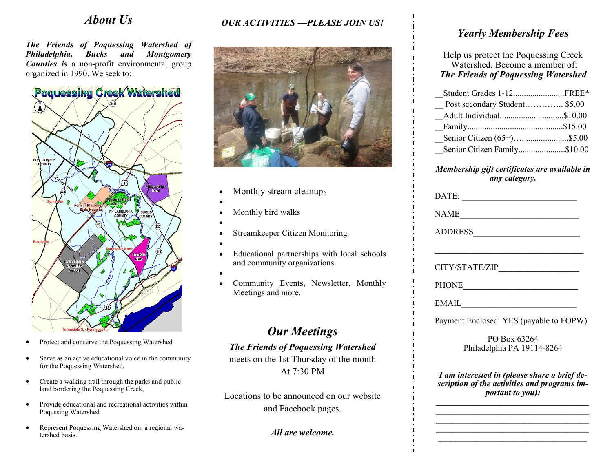## *About Us*

*The Friends of Poquessing Watershed of Philadelphia, Bucks and Montgomery Counties is* a non-profit environmental group organized in 1990. We seek to:



- Protect and conserve the Poquessing Watershed
- Serve as an active educational voice in the community for the Poquessing Watershed,
- Create a walking trail through the parks and public land bordering the Poquessing Creek,
- Provide educational and recreational activities within Poqussing Watershed
- Represent Poquessing Watershed on a regional watershed basis.

## *OUR ACTIVITIES —PLEASE JOIN US!*



- Monthly stream cleanups
- •
- Monthly bird walks
- •
- Streamkeeper Citizen Monitoring
- •
- Educational partnerships with local schools and community organizations
- •
- Community Events, Newsletter, Monthly Meetings and more.

# *Our Meetings*

*The Friends of Poquessing Watershed*  meets on the 1st Thursday of the month At 7:30 PM

Locations to be announced on our website and Facebook pages.

*All are welcome.*

## *Yearly Membership Fees*

Help us protect the Poquessing Creek Watershed. Become a member of: *The Friends of Poquessing Watershed*

| Student Grades 1-12FREE*      |  |
|-------------------------------|--|
| Post secondary Student \$5.00 |  |
| Adult Individual\$10.00       |  |
|                               |  |
| Senior Citizen (65+) \$5.00   |  |
| Senior Citizen Family\$10.00  |  |

#### *Membership gift certificates are available in any category.*

| DATE:                                                                                                                   |  |
|-------------------------------------------------------------------------------------------------------------------------|--|
| NAME                                                                                                                    |  |
| ADDRESS                                                                                                                 |  |
|                                                                                                                         |  |
| CITY/STATE/ZIP                                                                                                          |  |
|                                                                                                                         |  |
| $E\text{MAIL}$                                                                                                          |  |
| Payment Enclosed: YES (payable to FOPW)                                                                                 |  |
| PO Box 63264<br>Philadelphia PA 19114-8264                                                                              |  |
| I am interested in (please share a brief de-<br>scription of the activities and programs im-<br><i>portant to you):</i> |  |

*\_\_\_\_\_\_\_\_\_\_\_\_\_\_\_\_\_\_\_\_\_\_\_\_\_\_\_\_\_\_\_\_\_\_\_\_ \_\_\_\_\_\_\_\_\_\_\_\_\_\_\_\_\_\_\_\_\_\_\_\_\_\_\_\_\_\_\_\_\_\_\_\_ \_\_\_\_\_\_\_\_\_\_\_\_\_\_\_\_\_\_\_\_\_\_\_\_\_\_\_\_\_\_\_\_\_\_\_\_ \_\_\_\_\_\_\_\_\_\_\_\_\_\_\_\_\_\_\_\_\_\_\_\_\_\_\_\_\_\_\_\_\_\_\_*